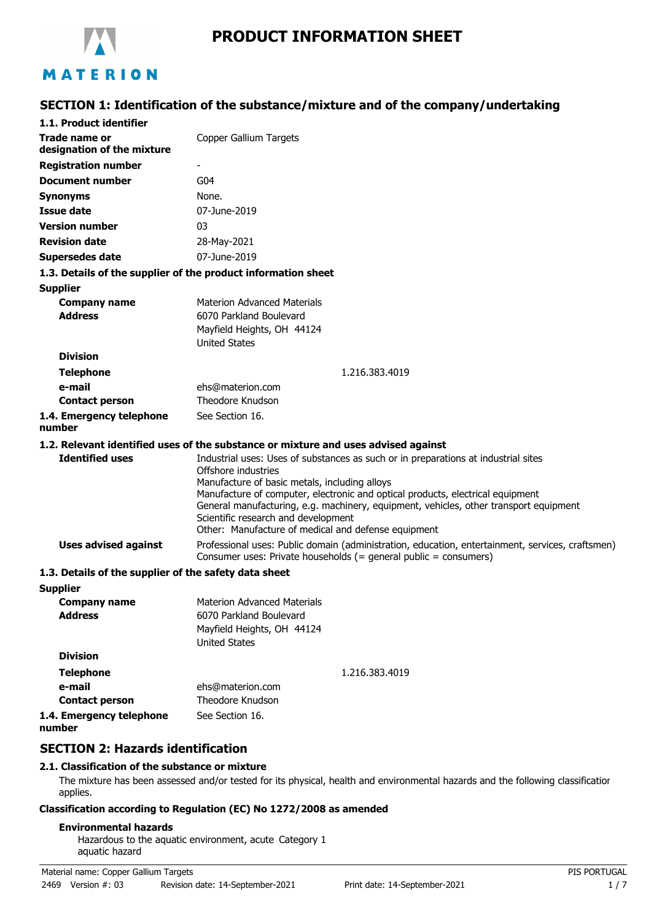

# **PRODUCT INFORMATION SHEET**

## **SECTION 1: Identification of the substance/mixture and of the company/undertaking**

| 1.1. Product identifier                               |                                                                                                                                                                                                                                                                                                                                                                                                                                     |
|-------------------------------------------------------|-------------------------------------------------------------------------------------------------------------------------------------------------------------------------------------------------------------------------------------------------------------------------------------------------------------------------------------------------------------------------------------------------------------------------------------|
| Trade name or<br>designation of the mixture           | Copper Gallium Targets                                                                                                                                                                                                                                                                                                                                                                                                              |
| <b>Registration number</b>                            |                                                                                                                                                                                                                                                                                                                                                                                                                                     |
| <b>Document number</b>                                | G <sub>04</sub>                                                                                                                                                                                                                                                                                                                                                                                                                     |
| <b>Synonyms</b>                                       | None.                                                                                                                                                                                                                                                                                                                                                                                                                               |
| <b>Issue date</b>                                     | 07-June-2019                                                                                                                                                                                                                                                                                                                                                                                                                        |
| <b>Version number</b>                                 | 03                                                                                                                                                                                                                                                                                                                                                                                                                                  |
| <b>Revision date</b>                                  | 28-May-2021                                                                                                                                                                                                                                                                                                                                                                                                                         |
| <b>Supersedes date</b>                                | 07-June-2019                                                                                                                                                                                                                                                                                                                                                                                                                        |
|                                                       | 1.3. Details of the supplier of the product information sheet                                                                                                                                                                                                                                                                                                                                                                       |
| <b>Supplier</b>                                       |                                                                                                                                                                                                                                                                                                                                                                                                                                     |
| <b>Company name</b>                                   | <b>Materion Advanced Materials</b>                                                                                                                                                                                                                                                                                                                                                                                                  |
| <b>Address</b>                                        | 6070 Parkland Boulevard                                                                                                                                                                                                                                                                                                                                                                                                             |
|                                                       | Mayfield Heights, OH 44124                                                                                                                                                                                                                                                                                                                                                                                                          |
| <b>Division</b>                                       | <b>United States</b>                                                                                                                                                                                                                                                                                                                                                                                                                |
|                                                       |                                                                                                                                                                                                                                                                                                                                                                                                                                     |
| <b>Telephone</b>                                      | 1.216.383.4019                                                                                                                                                                                                                                                                                                                                                                                                                      |
| e-mail                                                | ehs@materion.com<br>Theodore Knudson                                                                                                                                                                                                                                                                                                                                                                                                |
| <b>Contact person</b>                                 |                                                                                                                                                                                                                                                                                                                                                                                                                                     |
| 1.4. Emergency telephone<br>number                    | See Section 16.                                                                                                                                                                                                                                                                                                                                                                                                                     |
|                                                       | 1.2. Relevant identified uses of the substance or mixture and uses advised against                                                                                                                                                                                                                                                                                                                                                  |
| <b>Identified uses</b>                                | Industrial uses: Uses of substances as such or in preparations at industrial sites<br>Offshore industries<br>Manufacture of basic metals, including alloys<br>Manufacture of computer, electronic and optical products, electrical equipment<br>General manufacturing, e.g. machinery, equipment, vehicles, other transport equipment<br>Scientific research and development<br>Other: Manufacture of medical and defense equipment |
| <b>Uses advised against</b>                           | Professional uses: Public domain (administration, education, entertainment, services, craftsmen)<br>Consumer uses: Private households (= general public = consumers)                                                                                                                                                                                                                                                                |
| 1.3. Details of the supplier of the safety data sheet |                                                                                                                                                                                                                                                                                                                                                                                                                                     |
| <b>Supplier</b>                                       |                                                                                                                                                                                                                                                                                                                                                                                                                                     |
| <b>Company name</b><br><b>Address</b>                 | Materion Advanced Materials<br>6070 Parkland Boulevard<br>Mayfield Heights, OH 44124<br><b>United States</b>                                                                                                                                                                                                                                                                                                                        |
| <b>Division</b>                                       |                                                                                                                                                                                                                                                                                                                                                                                                                                     |
| <b>Telephone</b>                                      | 1.216.383.4019                                                                                                                                                                                                                                                                                                                                                                                                                      |
| e-mail                                                | ehs@materion.com                                                                                                                                                                                                                                                                                                                                                                                                                    |
| <b>Contact person</b>                                 | Theodore Knudson                                                                                                                                                                                                                                                                                                                                                                                                                    |
| 1.4. Emergency telephone                              | See Section 16.                                                                                                                                                                                                                                                                                                                                                                                                                     |

**number**

## **SECTION 2: Hazards identification**

### **2.1. Classification of the substance or mixture**

The mixture has been assessed and/or tested for its physical, health and environmental hazards and the following classification applies.

### **Classification according to Regulation (EC) No 1272/2008 as amended**

### **Environmental hazards**

Hazardous to the aquatic environment, acute Category 1 aquatic hazard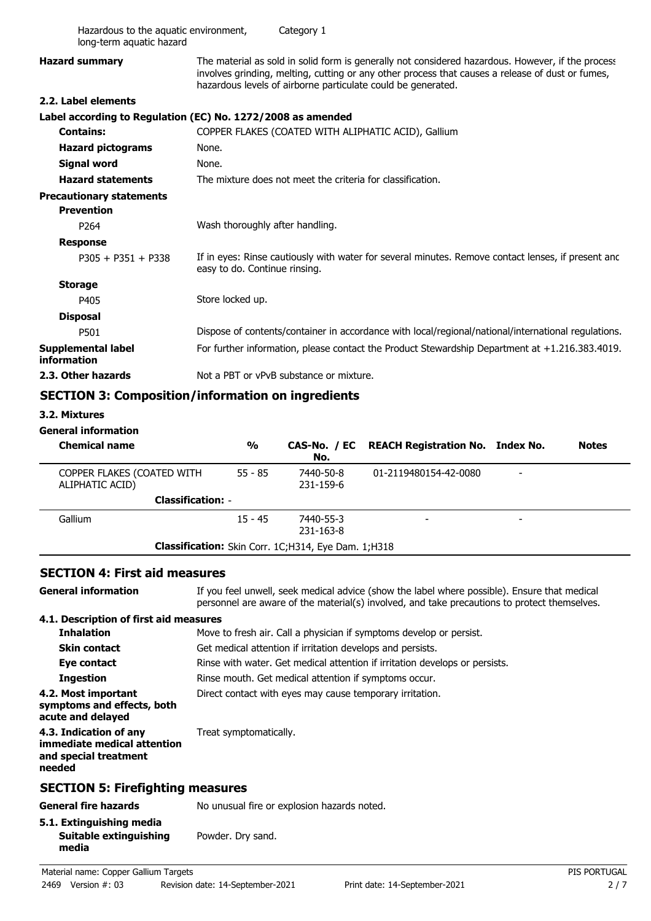| Hazardous to the aquatic environment,<br>long-term aquatic hazard |                                 | Category 1                                                 |                                                                                                                                                                                                                                                                       |              |
|-------------------------------------------------------------------|---------------------------------|------------------------------------------------------------|-----------------------------------------------------------------------------------------------------------------------------------------------------------------------------------------------------------------------------------------------------------------------|--------------|
| <b>Hazard summary</b>                                             |                                 |                                                            | The material as sold in solid form is generally not considered hazardous. However, if the process<br>involves grinding, melting, cutting or any other process that causes a release of dust or fumes,<br>hazardous levels of airborne particulate could be generated. |              |
| 2.2. Label elements                                               |                                 |                                                            |                                                                                                                                                                                                                                                                       |              |
| Label according to Regulation (EC) No. 1272/2008 as amended       |                                 |                                                            |                                                                                                                                                                                                                                                                       |              |
| <b>Contains:</b>                                                  |                                 |                                                            | COPPER FLAKES (COATED WITH ALIPHATIC ACID), Gallium                                                                                                                                                                                                                   |              |
| <b>Hazard pictograms</b>                                          | None.                           |                                                            |                                                                                                                                                                                                                                                                       |              |
| <b>Signal word</b>                                                | None.                           |                                                            |                                                                                                                                                                                                                                                                       |              |
| <b>Hazard statements</b>                                          |                                 | The mixture does not meet the criteria for classification. |                                                                                                                                                                                                                                                                       |              |
| <b>Precautionary statements</b><br><b>Prevention</b>              |                                 |                                                            |                                                                                                                                                                                                                                                                       |              |
| P <sub>264</sub>                                                  | Wash thoroughly after handling. |                                                            |                                                                                                                                                                                                                                                                       |              |
| <b>Response</b>                                                   |                                 |                                                            |                                                                                                                                                                                                                                                                       |              |
| $P305 + P351 + P338$                                              | easy to do. Continue rinsing.   |                                                            | If in eyes: Rinse cautiously with water for several minutes. Remove contact lenses, if present and                                                                                                                                                                    |              |
| <b>Storage</b>                                                    |                                 |                                                            |                                                                                                                                                                                                                                                                       |              |
| P405                                                              | Store locked up.                |                                                            |                                                                                                                                                                                                                                                                       |              |
| <b>Disposal</b>                                                   |                                 |                                                            |                                                                                                                                                                                                                                                                       |              |
| P501                                                              |                                 |                                                            | Dispose of contents/container in accordance with local/regional/national/international regulations.                                                                                                                                                                   |              |
| <b>Supplemental label</b><br>information                          |                                 |                                                            | For further information, please contact the Product Stewardship Department at +1.216.383.4019.                                                                                                                                                                        |              |
| 2.3. Other hazards                                                |                                 | Not a PBT or vPvB substance or mixture.                    |                                                                                                                                                                                                                                                                       |              |
| <b>SECTION 3: Composition/information on ingredients</b>          |                                 |                                                            |                                                                                                                                                                                                                                                                       |              |
| 3.2. Mixtures                                                     |                                 |                                                            |                                                                                                                                                                                                                                                                       |              |
| <b>General information</b>                                        |                                 |                                                            |                                                                                                                                                                                                                                                                       |              |
| <b>Chemical name</b>                                              | $\frac{0}{0}$                   | CAS-No. / EC<br>No.                                        | <b>REACH Registration No. Index No.</b>                                                                                                                                                                                                                               | <b>Notes</b> |
| COPPER FLAKES (COATED WITH<br>ALIPHATIC ACID)                     | $55 - 85$                       | 7440-50-8<br>231-159-6                                     | 01-2119480154-42-0080                                                                                                                                                                                                                                                 |              |
|                                                                   | <b>Classification: -</b>        |                                                            |                                                                                                                                                                                                                                                                       |              |
| Gallium                                                           | $15 - 45$                       | 7440-55-3                                                  |                                                                                                                                                                                                                                                                       |              |

### **SECTION 4: First aid measures**

**General information**

If you feel unwell, seek medical advice (show the label where possible). Ensure that medical personnel are aware of the material(s) involved, and take precautions to protect themselves. **4.1. Description of first aid measures**

## **Inhalation** Move to fresh air. Call a physician if symptoms develop or persist. **Skin contact** Get medical attention if irritation develops and persists. **Eye contact** Rinse with water. Get medical attention if irritation develops or persists. **Ingestion** Rinse mouth. Get medical attention if symptoms occur. **4.2. Most important** Direct contact with eyes may cause temporary irritation. **symptoms and effects, both acute and delayed 4.3. Indication of any** Treat symptomatically. **immediate medical attention and special treatment needed SECTION 5: Firefighting measures**

**Classification:** Skin Corr. 1C;H314, Eye Dam. 1;H318

-Gallium -7440-55-3

231-163-8

| General fire hazards                                        | No unusual fire or explosion hazards noted. |
|-------------------------------------------------------------|---------------------------------------------|
| 5.1. Extinguishing media<br>Suitable extinguishing<br>media | Powder. Dry sand.                           |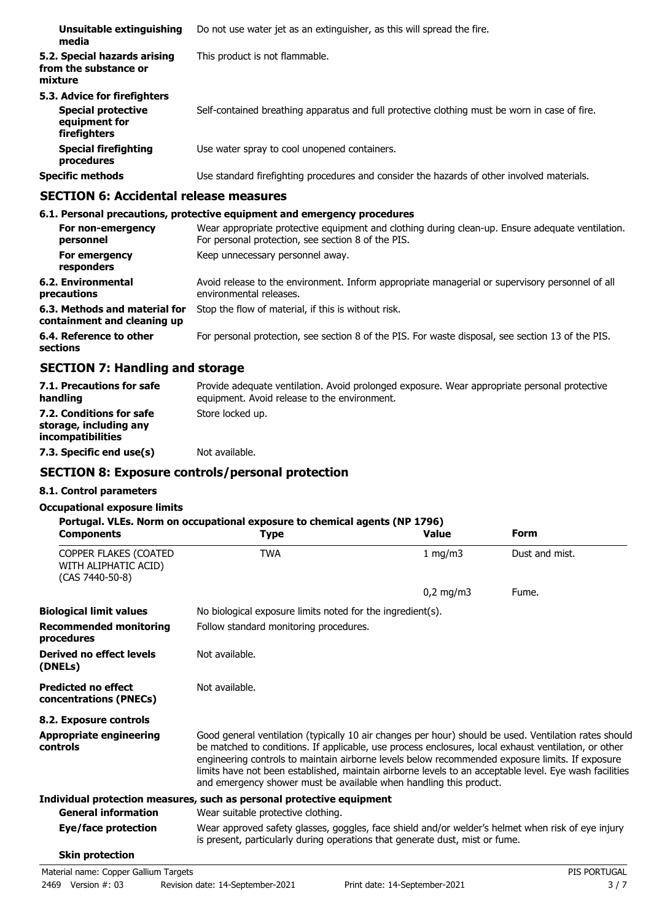| Unsuitable extinguishing<br>media                                                          | Do not use water jet as an extinguisher, as this will spread the fire.                        |
|--------------------------------------------------------------------------------------------|-----------------------------------------------------------------------------------------------|
| 5.2. Special hazards arising<br>from the substance or<br>mixture                           | This product is not flammable.                                                                |
| 5.3. Advice for firefighters<br><b>Special protective</b><br>equipment for<br>firefighters | Self-contained breathing apparatus and full protective clothing must be worn in case of fire. |
| <b>Special firefighting</b><br>procedures                                                  | Use water spray to cool unopened containers.                                                  |
| <b>Specific methods</b>                                                                    | Use standard firefighting procedures and consider the hazards of other involved materials.    |

## **SECTION 6: Accidental release measures**

#### **6.1. Personal precautions, protective equipment and emergency procedures** Wear appropriate protective equipment and clothing during clean-up. Ensure adequate ventilation. For personal protection, see section 8 of the PIS. **For non-emergency personnel For emergency** Keep unnecessary personnel away. **responders** Avoid release to the environment. Inform appropriate managerial or supervisory personnel of all environmental releases. **6.2. Environmental precautions 6.3. Methods and material for** Stop the flow of material, if this is without risk. **containment and cleaning up 6.4. Reference to other** For personal protection, see section 8 of the PIS. For waste disposal, see section 13 of the PIS. **sections**

## **SECTION 7: Handling and storage**

| 7.1. Precautions for safe<br>handling                                          | Provide adequate ventilation. Avoid prolonged exposure. Wear appropriate personal protective<br>equipment. Avoid release to the environment. |
|--------------------------------------------------------------------------------|----------------------------------------------------------------------------------------------------------------------------------------------|
| 7.2. Conditions for safe<br>storage, including any<br><i>incompatibilities</i> | Store locked up.                                                                                                                             |
| 7.3. Specific end use(s)                                                       | Not available.                                                                                                                               |

## **SECTION 8: Exposure controls/personal protection**

### **8.1. Control parameters**

### **Occupational exposure limits**

| <b>Components</b>                                                | Portugal. VLEs. Norm on occupational exposure to chemical agents (NP 1796)<br><b>Type</b>                                                                                                                                                                                                                                                                                                                                                                                                        | <b>Value</b> | Form           |
|------------------------------------------------------------------|--------------------------------------------------------------------------------------------------------------------------------------------------------------------------------------------------------------------------------------------------------------------------------------------------------------------------------------------------------------------------------------------------------------------------------------------------------------------------------------------------|--------------|----------------|
| COPPER FLAKES (COATED<br>WITH ALIPHATIC ACID)<br>(CAS 7440-50-8) | <b>TWA</b>                                                                                                                                                                                                                                                                                                                                                                                                                                                                                       | 1 mg/m $3$   | Dust and mist. |
|                                                                  |                                                                                                                                                                                                                                                                                                                                                                                                                                                                                                  | $0,2$ mg/m3  | Fume.          |
| <b>Biological limit values</b>                                   | No biological exposure limits noted for the ingredient(s).                                                                                                                                                                                                                                                                                                                                                                                                                                       |              |                |
| <b>Recommended monitoring</b><br>procedures                      | Follow standard monitoring procedures.                                                                                                                                                                                                                                                                                                                                                                                                                                                           |              |                |
| Derived no effect levels<br>(DNELs)                              | Not available.                                                                                                                                                                                                                                                                                                                                                                                                                                                                                   |              |                |
| <b>Predicted no effect</b><br>concentrations (PNECs)             | Not available.                                                                                                                                                                                                                                                                                                                                                                                                                                                                                   |              |                |
| 8.2. Exposure controls                                           |                                                                                                                                                                                                                                                                                                                                                                                                                                                                                                  |              |                |
| <b>Appropriate engineering</b><br>controls                       | Good general ventilation (typically 10 air changes per hour) should be used. Ventilation rates should<br>be matched to conditions. If applicable, use process enclosures, local exhaust ventilation, or other<br>engineering controls to maintain airborne levels below recommended exposure limits. If exposure<br>limits have not been established, maintain airborne levels to an acceptable level. Eye wash facilities<br>and emergency shower must be available when handling this product. |              |                |
|                                                                  | Individual protection measures, such as personal protective equipment                                                                                                                                                                                                                                                                                                                                                                                                                            |              |                |
| <b>General information</b>                                       | Wear suitable protective clothing.                                                                                                                                                                                                                                                                                                                                                                                                                                                               |              |                |
| Eye/face protection                                              | Wear approved safety glasses, goggles, face shield and/or welder's helmet when risk of eye injury<br>is present, particularly during operations that generate dust, mist or fume.                                                                                                                                                                                                                                                                                                                |              |                |
| <b>Skin protection</b>                                           |                                                                                                                                                                                                                                                                                                                                                                                                                                                                                                  |              |                |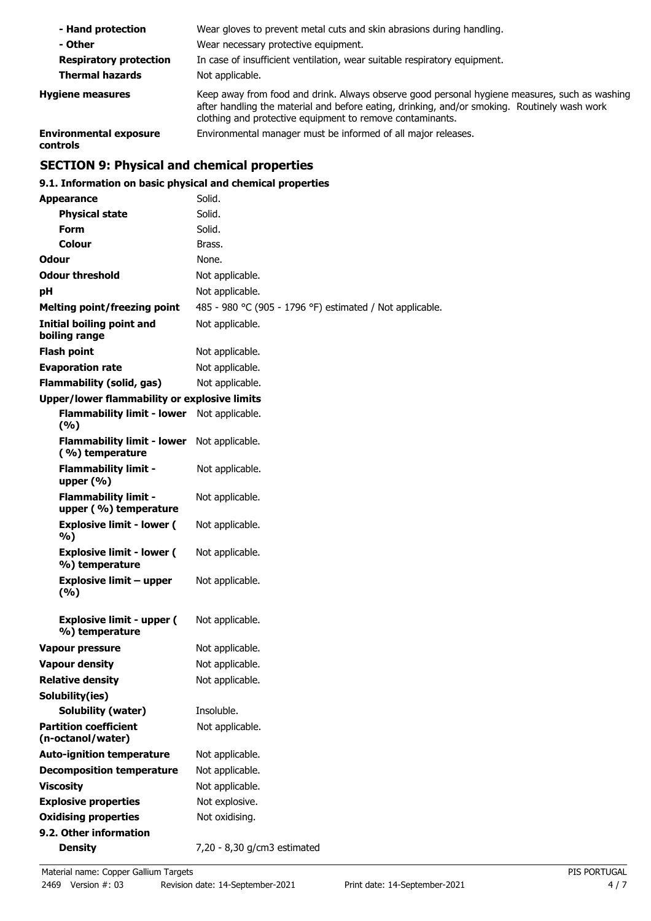| - Hand protection                         | Wear gloves to prevent metal cuts and skin abrasions during handling.                                                                                                                                                                                      |
|-------------------------------------------|------------------------------------------------------------------------------------------------------------------------------------------------------------------------------------------------------------------------------------------------------------|
| - Other                                   | Wear necessary protective equipment.                                                                                                                                                                                                                       |
| <b>Respiratory protection</b>             | In case of insufficient ventilation, wear suitable respiratory equipment.                                                                                                                                                                                  |
| <b>Thermal hazards</b>                    | Not applicable.                                                                                                                                                                                                                                            |
| <b>Hygiene measures</b>                   | Keep away from food and drink. Always observe good personal hygiene measures, such as washing<br>after handling the material and before eating, drinking, and/or smoking. Routinely wash work<br>clothing and protective equipment to remove contaminants. |
| <b>Environmental exposure</b><br>controls | Environmental manager must be informed of all major releases.                                                                                                                                                                                              |

# **SECTION 9: Physical and chemical properties**

## **9.1. Information on basic physical and chemical properties**

| <b>Appearance</b>                                    | Solid.                                                   |
|------------------------------------------------------|----------------------------------------------------------|
| <b>Physical state</b>                                | Solid.                                                   |
| <b>Form</b>                                          | Solid.                                                   |
| Colour                                               | Brass.                                                   |
| <b>Odour</b>                                         | None.                                                    |
| <b>Odour threshold</b>                               | Not applicable.                                          |
| рH                                                   | Not applicable.                                          |
| <b>Melting point/freezing point</b>                  | 485 - 980 °C (905 - 1796 °F) estimated / Not applicable. |
| <b>Initial boiling point and</b><br>boiling range    | Not applicable.                                          |
| <b>Flash point</b>                                   | Not applicable.                                          |
| <b>Evaporation rate</b>                              | Not applicable.                                          |
| <b>Flammability (solid, gas)</b>                     | Not applicable.                                          |
| <b>Upper/lower flammability or explosive limits</b>  |                                                          |
| <b>Flammability limit - lower</b><br>(%)             | Not applicable.                                          |
| <b>Flammability limit - lower</b><br>(%) temperature | Not applicable.                                          |
| <b>Flammability limit -</b><br>upper $(\% )$         | Not applicable.                                          |
| <b>Flammability limit -</b><br>upper (%) temperature | Not applicable.                                          |
| <b>Explosive limit - lower (</b><br>%)               | Not applicable.                                          |
| <b>Explosive limit - lower (</b><br>%) temperature   | Not applicable.                                          |
| <b>Explosive limit - upper</b><br>(%)                | Not applicable.                                          |
| <b>Explosive limit - upper (</b><br>%) temperature   | Not applicable.                                          |
| <b>Vapour pressure</b>                               | Not applicable.                                          |
| <b>Vapour density</b>                                | Not applicable.                                          |
| <b>Relative density</b>                              | Not applicable.                                          |
| Solubility(ies)                                      |                                                          |
| <b>Solubility (water)</b>                            | Insoluble.                                               |
| <b>Partition coefficient</b><br>(n-octanol/water)    | Not applicable.                                          |
| <b>Auto-ignition temperature</b>                     | Not applicable.                                          |
| <b>Decomposition temperature</b>                     | Not applicable.                                          |
| <b>Viscosity</b>                                     | Not applicable.                                          |
| <b>Explosive properties</b>                          | Not explosive.                                           |
| <b>Oxidising properties</b>                          | Not oxidising.                                           |
| 9.2. Other information                               |                                                          |
| <b>Density</b>                                       | 7,20 - 8,30 g/cm3 estimated                              |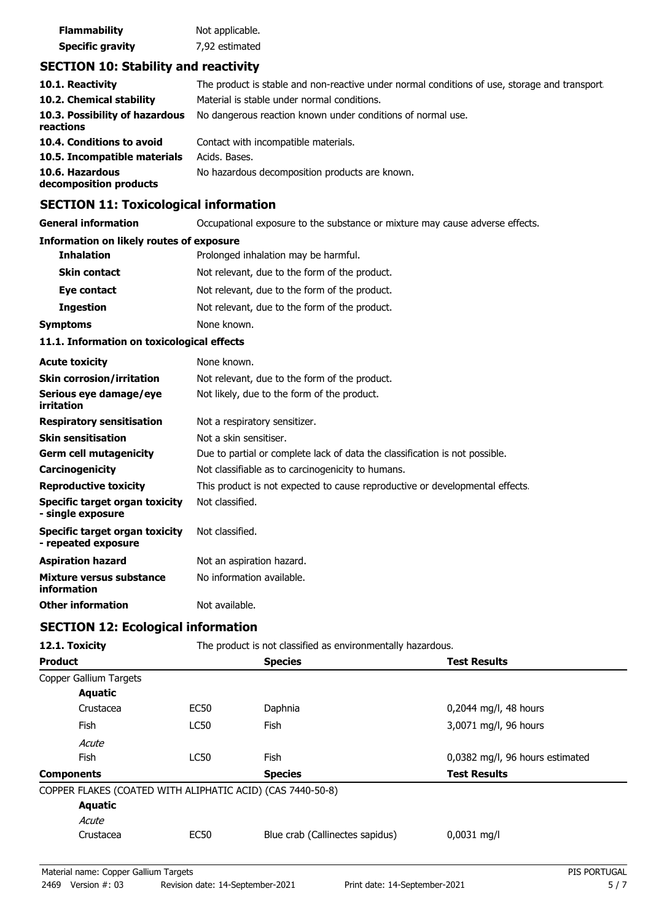| <b>Flammability</b>     | Not applicable. |
|-------------------------|-----------------|
| <b>Specific gravity</b> | 7,92 estimated  |

## **SECTION 10: Stability and reactivity**

| 10.1. Reactivity                            | The product is stable and non-reactive under normal conditions of use, storage and transport. |
|---------------------------------------------|-----------------------------------------------------------------------------------------------|
| 10.2. Chemical stability                    | Material is stable under normal conditions.                                                   |
| 10.3. Possibility of hazardous<br>reactions | No dangerous reaction known under conditions of normal use.                                   |
| 10.4. Conditions to avoid                   | Contact with incompatible materials.                                                          |
| 10.5. Incompatible materials                | Acids. Bases.                                                                                 |
| 10.6. Hazardous<br>decomposition products   | No hazardous decomposition products are known.                                                |

## **SECTION 11: Toxicological information**

**General information CCCUPATION** Occupational exposure to the substance or mixture may cause adverse effects.

### **Information on likely routes of exposure**

| <b>Inhalation</b>   | Prolonged inhalation may be harmful.          |  |
|---------------------|-----------------------------------------------|--|
| <b>Skin contact</b> | Not relevant, due to the form of the product. |  |
| Eye contact         | Not relevant, due to the form of the product. |  |
| <b>Ingestion</b>    | Not relevant, due to the form of the product. |  |
| Symptoms            | None known.                                   |  |

### **11.1. Information on toxicological effects**

| <b>Acute toxicity</b>                                 | None known.                                                                  |
|-------------------------------------------------------|------------------------------------------------------------------------------|
| <b>Skin corrosion/irritation</b>                      | Not relevant, due to the form of the product.                                |
| Serious eye damage/eye<br>irritation                  | Not likely, due to the form of the product.                                  |
| <b>Respiratory sensitisation</b>                      | Not a respiratory sensitizer.                                                |
| <b>Skin sensitisation</b>                             | Not a skin sensitiser.                                                       |
| <b>Germ cell mutagenicity</b>                         | Due to partial or complete lack of data the classification is not possible.  |
| Carcinogenicity                                       | Not classifiable as to carcinogenicity to humans.                            |
| <b>Reproductive toxicity</b>                          | This product is not expected to cause reproductive or developmental effects. |
| Specific target organ toxicity<br>- single exposure   | Not classified.                                                              |
| Specific target organ toxicity<br>- repeated exposure | Not classified.                                                              |
| <b>Aspiration hazard</b>                              | Not an aspiration hazard.                                                    |
| Mixture versus substance<br>information               | No information available.                                                    |
| <b>Other information</b>                              | Not available.                                                               |

### **SECTION 12: Ecological information**

| 12.1. Toxicity                                             |             | The product is not classified as environmentally hazardous. |                                 |  |
|------------------------------------------------------------|-------------|-------------------------------------------------------------|---------------------------------|--|
| <b>Product</b>                                             |             | <b>Species</b>                                              | <b>Test Results</b>             |  |
| Copper Gallium Targets                                     |             |                                                             |                                 |  |
| <b>Aquatic</b>                                             |             |                                                             |                                 |  |
| Crustacea                                                  | <b>EC50</b> | Daphnia                                                     | 0,2044 mg/l, 48 hours           |  |
| <b>Fish</b>                                                | <b>LC50</b> | <b>Fish</b>                                                 | 3,0071 mg/l, 96 hours           |  |
| Acute                                                      |             |                                                             |                                 |  |
| Fish                                                       | <b>LC50</b> | <b>Fish</b>                                                 | 0,0382 mg/l, 96 hours estimated |  |
| <b>Components</b>                                          |             | <b>Species</b>                                              | <b>Test Results</b>             |  |
| COPPER FLAKES (COATED WITH ALIPHATIC ACID) (CAS 7440-50-8) |             |                                                             |                                 |  |
| <b>Aquatic</b>                                             |             |                                                             |                                 |  |
| Acute                                                      |             |                                                             |                                 |  |
| Crustacea                                                  | EC50        | Blue crab (Callinectes sapidus)                             | $0,0031$ mg/l                   |  |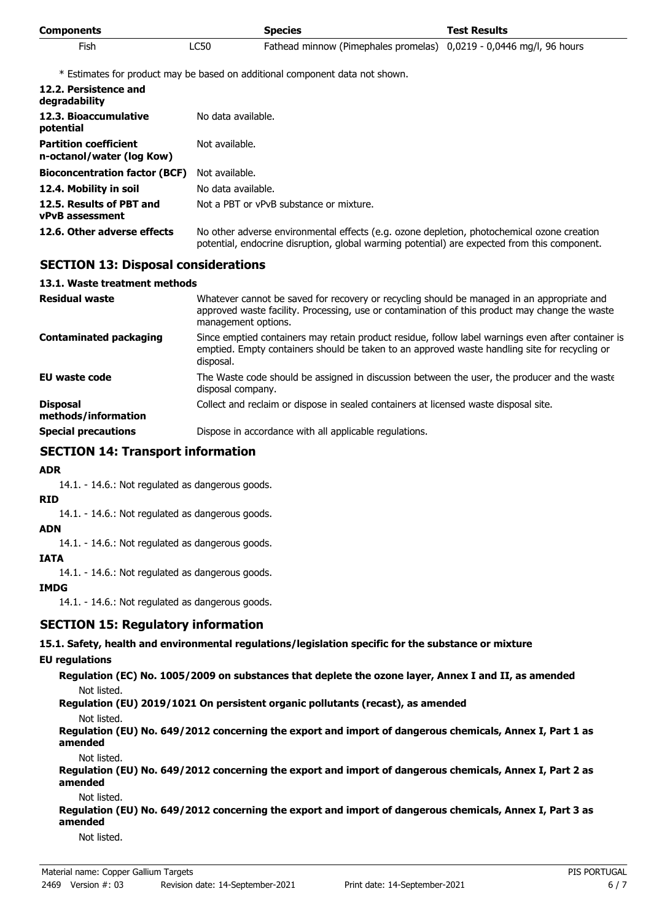| <b>Components</b> |      | <b>Species</b>                                                      | <b>Test Results</b> |
|-------------------|------|---------------------------------------------------------------------|---------------------|
| <b>Fish</b>       | LC50 | Fathead minnow (Pimephales promelas) 0,0219 - 0,0446 mg/l, 96 hours |                     |

\* Estimates for product may be based on additional component data not shown.

| 12.2. Persistence and<br>degradability                    |                                                                                                                                                                                            |  |
|-----------------------------------------------------------|--------------------------------------------------------------------------------------------------------------------------------------------------------------------------------------------|--|
| 12.3. Bioaccumulative<br>potential                        | No data available.                                                                                                                                                                         |  |
| <b>Partition coefficient</b><br>n-octanol/water (log Kow) | Not available.                                                                                                                                                                             |  |
| <b>Bioconcentration factor (BCF)</b>                      | Not available.                                                                                                                                                                             |  |
| 12.4. Mobility in soil                                    | No data available.                                                                                                                                                                         |  |
| 12.5. Results of PBT and<br><b>vPvB</b> assessment        | Not a PBT or vPvB substance or mixture.                                                                                                                                                    |  |
| 12.6. Other adverse effects                               | No other adverse environmental effects (e.g. ozone depletion, photochemical ozone creation<br>potential, endocrine disruption, global warming potential) are expected from this component. |  |

### **SECTION 13: Disposal considerations**

### **13.1. Waste treatment methods**

| <b>Residual waste</b>                  | Whatever cannot be saved for recovery or recycling should be managed in an appropriate and<br>approved waste facility. Processing, use or contamination of this product may change the waste<br>management options. |  |
|----------------------------------------|---------------------------------------------------------------------------------------------------------------------------------------------------------------------------------------------------------------------|--|
| <b>Contaminated packaging</b>          | Since emptied containers may retain product residue, follow label warnings even after container is<br>emptied. Empty containers should be taken to an approved waste handling site for recycling or<br>disposal.    |  |
| EU waste code                          | The Waste code should be assigned in discussion between the user, the producer and the waste<br>disposal company.                                                                                                   |  |
| <b>Disposal</b><br>methods/information | Collect and reclaim or dispose in sealed containers at licensed waste disposal site.                                                                                                                                |  |
| <b>Special precautions</b>             | Dispose in accordance with all applicable regulations.                                                                                                                                                              |  |

### **SECTION 14: Transport information**

### **ADR**

14.1. - 14.6.: Not regulated as dangerous goods.

### **RID**

14.1. - 14.6.: Not regulated as dangerous goods.

#### **ADN**

14.1. - 14.6.: Not regulated as dangerous goods.

### **IATA**

14.1. - 14.6.: Not regulated as dangerous goods.

### **IMDG**

14.1. - 14.6.: Not regulated as dangerous goods.

### **SECTION 15: Regulatory information**

### **15.1. Safety, health and environmental regulations/legislation specific for the substance or mixture**

### **EU regulations**

**Regulation (EC) No. 1005/2009 on substances that deplete the ozone layer, Annex I and II, as amended** Not listed.

**Regulation (EU) 2019/1021 On persistent organic pollutants (recast), as amended**

Not listed.

**Regulation (EU) No. 649/2012 concerning the export and import of dangerous chemicals, Annex I, Part 1 as amended**

Not listed.

**Regulation (EU) No. 649/2012 concerning the export and import of dangerous chemicals, Annex I, Part 2 as amended**

Not listed.

**Regulation (EU) No. 649/2012 concerning the export and import of dangerous chemicals, Annex I, Part 3 as amended**

Not listed.